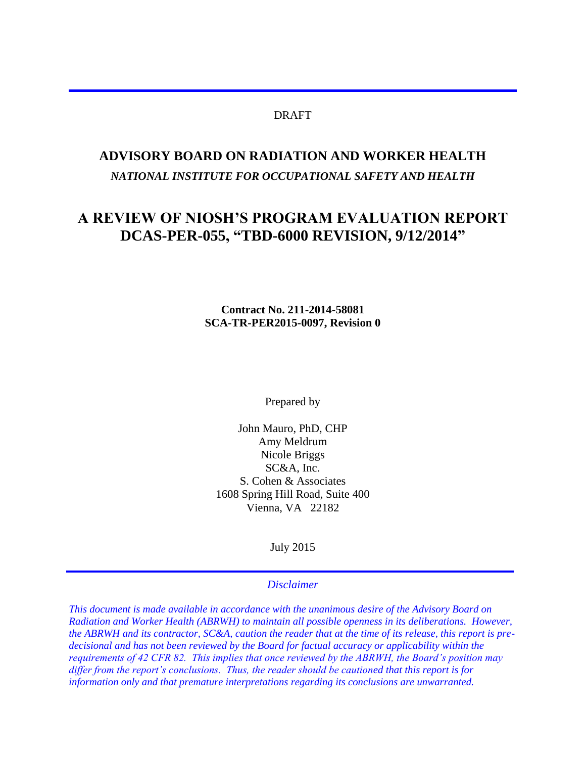### DRAFT

# **ADVISORY BOARD ON RADIATION AND WORKER HEALTH**  *NATIONAL INSTITUTE FOR OCCUPATIONAL SAFETY AND HEALTH*

# **A REVIEW OF NIOSH'S PROGRAM EVALUATION REPORT DCAS-PER-055, "TBD-6000 REVISION, 9/12/2014"**

#### **Contract No. 211-2014-58081 SCA-TR-PER2015-0097, Revision 0**

Prepared by

John Mauro, PhD, CHP Amy Meldrum Nicole Briggs SC&A, Inc. S. Cohen & Associates 1608 Spring Hill Road, Suite 400 Vienna, VA 22182

July 2015

#### *Disclaimer*

*This document is made available in accordance with the unanimous desire of the Advisory Board on Radiation and Worker Health (ABRWH) to maintain all possible openness in its deliberations. However, the ABRWH and its contractor, SC&A, caution the reader that at the time of its release, this report is predecisional and has not been reviewed by the Board for factual accuracy or applicability within the requirements of 42 CFR 82. This implies that once reviewed by the ABRWH, the Board's position may differ from the report's conclusions. Thus, the reader should be cautioned that this report is for information only and that premature interpretations regarding its conclusions are unwarranted.*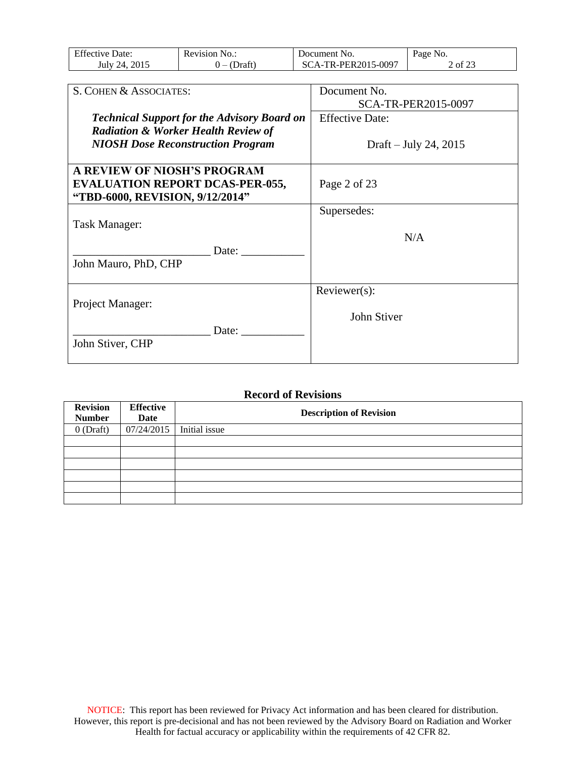| <b>Effective Date:</b> | Revision No.:          | Document No.        | Page No. |
|------------------------|------------------------|---------------------|----------|
| July 24, 2015          | (Draft)<br>$\cdot$ $-$ | SCA-TR-PER2015-0097 | 2 of 23  |

| S. COHEN & ASSOCIATES:                             | Document No.           |
|----------------------------------------------------|------------------------|
|                                                    | SCA-TR-PER2015-0097    |
| <b>Technical Support for the Advisory Board on</b> | <b>Effective Date:</b> |
| <b>Radiation &amp; Worker Health Review of</b>     |                        |
| <b>NIOSH</b> Dose Reconstruction Program           | Draft – July 24, 2015  |
|                                                    |                        |
| A REVIEW OF NIOSH'S PROGRAM                        |                        |
| <b>EVALUATION REPORT DCAS-PER-055,</b>             | Page 2 of 23           |
| "TBD-6000, REVISION, 9/12/2014"                    |                        |
|                                                    | Supersedes:            |
| Task Manager:                                      |                        |
|                                                    | N/A                    |
| Date:                                              |                        |
| John Mauro, PhD, CHP                               |                        |
|                                                    |                        |
|                                                    | $Reviewer(s)$ :        |
| Project Manager:                                   |                        |
|                                                    | John Stiver            |
| Date:                                              |                        |
| John Stiver, CHP                                   |                        |
|                                                    |                        |

#### **Record of Revisions**

| <b>Revision</b><br><b>Number</b> | <b>Effective</b><br>Date | <b>Description of Revision</b> |
|----------------------------------|--------------------------|--------------------------------|
| $0$ (Draft)                      | 07/24/2015               | Initial issue                  |
|                                  |                          |                                |
|                                  |                          |                                |
|                                  |                          |                                |
|                                  |                          |                                |
|                                  |                          |                                |
|                                  |                          |                                |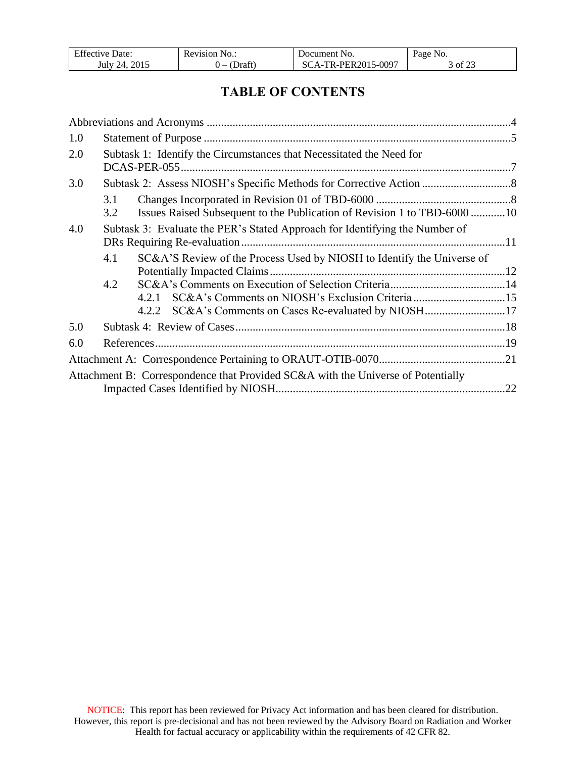| <b>Effective Date:</b> | <b>Revision No.:</b>        | Document No.        | Page No. |
|------------------------|-----------------------------|---------------------|----------|
| 2015<br>July 24.       | (Draft)<br>$\cdot$ $ \cdot$ | SCA-TR-PER2015-0097 | of 23    |

# **TABLE OF CONTENTS**

| 1.0 |            |                                                                                                       |  |
|-----|------------|-------------------------------------------------------------------------------------------------------|--|
| 2.0 |            | Subtask 1: Identify the Circumstances that Necessitated the Need for                                  |  |
| 3.0 |            |                                                                                                       |  |
|     | 3.1<br>3.2 | Issues Raised Subsequent to the Publication of Revision 1 to TBD-6000 10                              |  |
| 4.0 |            | Subtask 3: Evaluate the PER's Stated Approach for Identifying the Number of                           |  |
|     | 4.1        | SC&A'S Review of the Process Used by NIOSH to Identify the Universe of<br>Potentially Impacted Claims |  |
|     | 4.2        |                                                                                                       |  |
|     |            | SC&A's Comments on NIOSH's Exclusion Criteria 15<br>4.2.1                                             |  |
|     |            | SC&A's Comments on Cases Re-evaluated by NIOSH17<br>4.2.2                                             |  |
| 5.0 |            |                                                                                                       |  |
| 6.0 |            |                                                                                                       |  |
|     |            |                                                                                                       |  |
|     |            | Attachment B: Correspondence that Provided SC&A with the Universe of Potentially                      |  |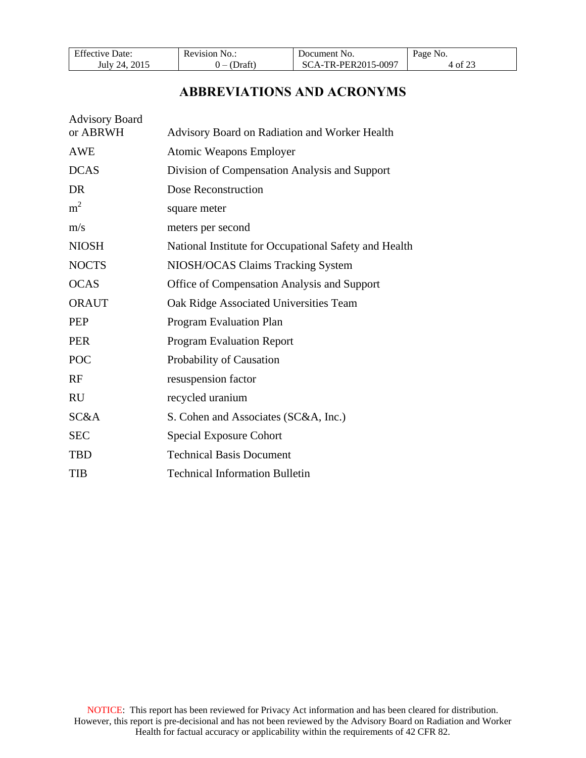| <b>Effective Date:</b> | <b>Revision No.:</b> | Document No.        | Page No. |
|------------------------|----------------------|---------------------|----------|
| July 24, 2015          | (Draft)<br>$l - 1$   | SCA-TR-PER2015-0097 | 4 of 23  |

# **ABBREVIATIONS AND ACRONYMS**

<span id="page-3-0"></span>

| <b>Advisory Board</b><br>or ABRWH | Advisory Board on Radiation and Worker Health         |
|-----------------------------------|-------------------------------------------------------|
|                                   |                                                       |
| <b>AWE</b>                        | <b>Atomic Weapons Employer</b>                        |
| <b>DCAS</b>                       | Division of Compensation Analysis and Support         |
| DR                                | Dose Reconstruction                                   |
| m <sup>2</sup>                    | square meter                                          |
| m/s                               | meters per second                                     |
| <b>NIOSH</b>                      | National Institute for Occupational Safety and Health |
| <b>NOCTS</b>                      | NIOSH/OCAS Claims Tracking System                     |
| <b>OCAS</b>                       | Office of Compensation Analysis and Support           |
| <b>ORAUT</b>                      | Oak Ridge Associated Universities Team                |
| <b>PEP</b>                        | <b>Program Evaluation Plan</b>                        |
| <b>PER</b>                        | <b>Program Evaluation Report</b>                      |
| <b>POC</b>                        | Probability of Causation                              |
| RF                                | resuspension factor                                   |
| <b>RU</b>                         | recycled uranium                                      |
| SC&A                              | S. Cohen and Associates (SC&A, Inc.)                  |
| <b>SEC</b>                        | <b>Special Exposure Cohort</b>                        |
| <b>TBD</b>                        | <b>Technical Basis Document</b>                       |
| TIB                               | <b>Technical Information Bulletin</b>                 |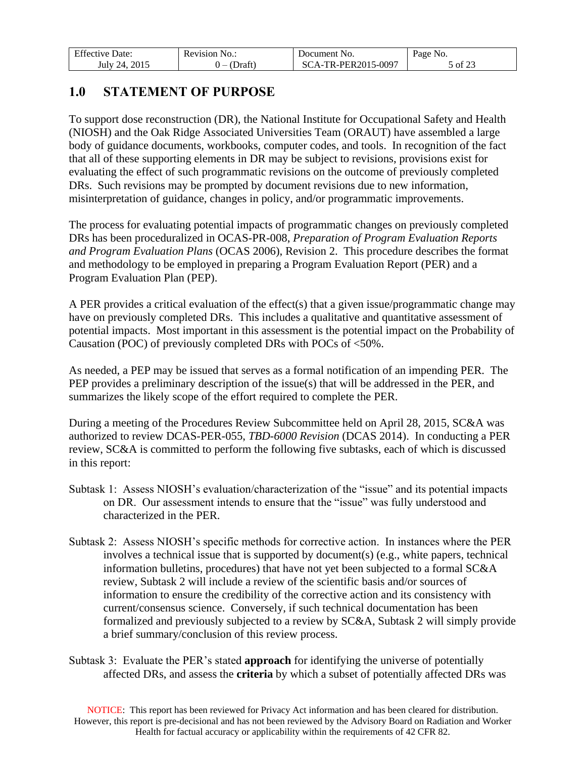| <b>Effective Date:</b> | Revision No.: | Document No.        | Page No. |
|------------------------|---------------|---------------------|----------|
| 2015<br>July 24.       | 'Draft        | SCA-TR-PER2015-0097 | 5 of 23  |

### <span id="page-4-0"></span>**1.0 STATEMENT OF PURPOSE**

To support dose reconstruction (DR), the National Institute for Occupational Safety and Health (NIOSH) and the Oak Ridge Associated Universities Team (ORAUT) have assembled a large body of guidance documents, workbooks, computer codes, and tools. In recognition of the fact that all of these supporting elements in DR may be subject to revisions, provisions exist for evaluating the effect of such programmatic revisions on the outcome of previously completed DRs. Such revisions may be prompted by document revisions due to new information, misinterpretation of guidance, changes in policy, and/or programmatic improvements.

The process for evaluating potential impacts of programmatic changes on previously completed DRs has been proceduralized in OCAS-PR-008, *Preparation of Program Evaluation Reports and Program Evaluation Plans* (OCAS 2006), Revision 2. This procedure describes the format and methodology to be employed in preparing a Program Evaluation Report (PER) and a Program Evaluation Plan (PEP).

A PER provides a critical evaluation of the effect(s) that a given issue/programmatic change may have on previously completed DRs. This includes a qualitative and quantitative assessment of potential impacts. Most important in this assessment is the potential impact on the Probability of Causation (POC) of previously completed DRs with POCs of <50%.

As needed, a PEP may be issued that serves as a formal notification of an impending PER. The PEP provides a preliminary description of the issue(s) that will be addressed in the PER, and summarizes the likely scope of the effort required to complete the PER.

During a meeting of the Procedures Review Subcommittee held on April 28, 2015, SC&A was authorized to review DCAS-PER-055, *TBD-6000 Revision* (DCAS 2014). In conducting a PER review, SC&A is committed to perform the following five subtasks, each of which is discussed in this report:

- Subtask 1: Assess NIOSH's evaluation/characterization of the "issue" and its potential impacts on DR. Our assessment intends to ensure that the "issue" was fully understood and characterized in the PER.
- Subtask 2: Assess NIOSH's specific methods for corrective action. In instances where the PER involves a technical issue that is supported by document(s) (e.g., white papers, technical information bulletins, procedures) that have not yet been subjected to a formal SC&A review, Subtask 2 will include a review of the scientific basis and/or sources of information to ensure the credibility of the corrective action and its consistency with current/consensus science. Conversely, if such technical documentation has been formalized and previously subjected to a review by SC&A, Subtask 2 will simply provide a brief summary/conclusion of this review process.
- Subtask 3: Evaluate the PER's stated **approach** for identifying the universe of potentially affected DRs, and assess the **criteria** by which a subset of potentially affected DRs was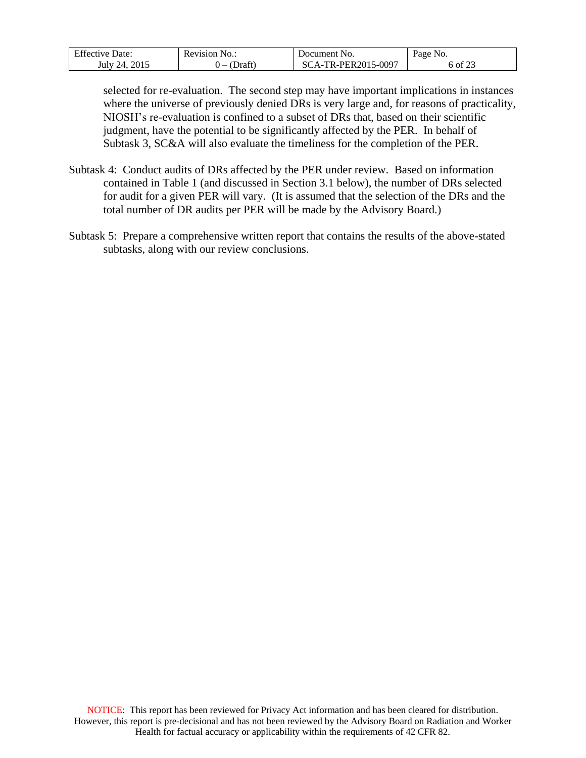| <b>Effective Date:</b> | Revision No.: | Document No.        | Page No. |
|------------------------|---------------|---------------------|----------|
| July 24, 2015          | (Draft)       | SCA-TR-PER2015-0097 | 6 of 23  |

selected for re-evaluation. The second step may have important implications in instances where the universe of previously denied DRs is very large and, for reasons of practicality, NIOSH's re-evaluation is confined to a subset of DRs that, based on their scientific judgment, have the potential to be significantly affected by the PER. In behalf of Subtask 3, SC&A will also evaluate the timeliness for the completion of the PER.

- Subtask 4: Conduct audits of DRs affected by the PER under review. Based on information contained in Table 1 (and discussed in Section 3.1 below), the number of DRs selected for audit for a given PER will vary. (It is assumed that the selection of the DRs and the total number of DR audits per PER will be made by the Advisory Board.)
- Subtask 5: Prepare a comprehensive written report that contains the results of the above-stated subtasks, along with our review conclusions.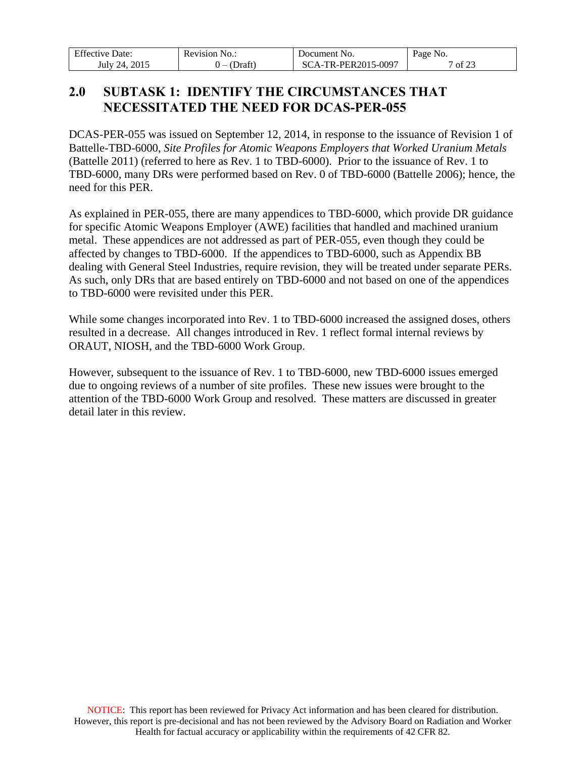| <b>Effective Date:</b> | Revision No.: | Document No.     | Page No. |
|------------------------|---------------|------------------|----------|
| 2015<br>July 24.       | )raft         | -TR-PER2015-0097 | of 23    |

## <span id="page-6-0"></span>**2.0 SUBTASK 1: IDENTIFY THE CIRCUMSTANCES THAT NECESSITATED THE NEED FOR DCAS-PER-055**

DCAS-PER-055 was issued on September 12, 2014, in response to the issuance of Revision 1 of Battelle-TBD-6000, *Site Profiles for Atomic Weapons Employers that Worked Uranium Metals* (Battelle 2011) (referred to here as Rev. 1 to TBD-6000). Prior to the issuance of Rev. 1 to TBD-6000, many DRs were performed based on Rev. 0 of TBD-6000 (Battelle 2006); hence, the need for this PER.

As explained in PER-055, there are many appendices to TBD-6000, which provide DR guidance for specific Atomic Weapons Employer (AWE) facilities that handled and machined uranium metal. These appendices are not addressed as part of PER-055, even though they could be affected by changes to TBD-6000. If the appendices to TBD-6000, such as Appendix BB dealing with General Steel Industries, require revision, they will be treated under separate PERs. As such, only DRs that are based entirely on TBD-6000 and not based on one of the appendices to TBD-6000 were revisited under this PER.

While some changes incorporated into Rev. 1 to TBD-6000 increased the assigned doses, others resulted in a decrease. All changes introduced in Rev. 1 reflect formal internal reviews by ORAUT, NIOSH, and the TBD-6000 Work Group.

However, subsequent to the issuance of Rev. 1 to TBD-6000, new TBD-6000 issues emerged due to ongoing reviews of a number of site profiles. These new issues were brought to the attention of the TBD-6000 Work Group and resolved. These matters are discussed in greater detail later in this review.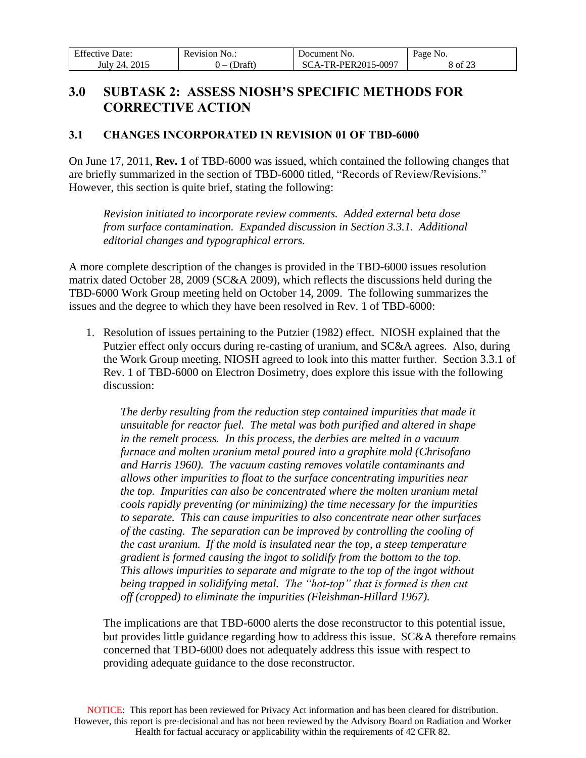| <b>Effective Date:</b> | <b>Revision No.:</b> | Document No.        | Page No. |
|------------------------|----------------------|---------------------|----------|
| July 24, 2015          | (Draft)<br>. –       | SCA-TR-PER2015-0097 | 8 of 23  |

## <span id="page-7-0"></span>**3.0 SUBTASK 2: ASSESS NIOSH'S SPECIFIC METHODS FOR CORRECTIVE ACTION**

#### <span id="page-7-1"></span>**3.1 CHANGES INCORPORATED IN REVISION 01 OF TBD-6000**

On June 17, 2011, **Rev. 1** of TBD-6000 was issued, which contained the following changes that are briefly summarized in the section of TBD-6000 titled, "Records of Review/Revisions." However, this section is quite brief, stating the following:

*Revision initiated to incorporate review comments. Added external beta dose from surface contamination. Expanded discussion in Section 3.3.1. Additional editorial changes and typographical errors.*

A more complete description of the changes is provided in the TBD-6000 issues resolution matrix dated October 28, 2009 (SC&A 2009), which reflects the discussions held during the TBD-6000 Work Group meeting held on October 14, 2009. The following summarizes the issues and the degree to which they have been resolved in Rev. 1 of TBD-6000:

1. Resolution of issues pertaining to the Putzier (1982) effect. NIOSH explained that the Putzier effect only occurs during re-casting of uranium, and SC&A agrees. Also, during the Work Group meeting, NIOSH agreed to look into this matter further. Section 3.3.1 of Rev. 1 of TBD-6000 on Electron Dosimetry, does explore this issue with the following discussion:

*The derby resulting from the reduction step contained impurities that made it unsuitable for reactor fuel. The metal was both purified and altered in shape in the remelt process. In this process, the derbies are melted in a vacuum furnace and molten uranium metal poured into a graphite mold (Chrisofano and Harris 1960). The vacuum casting removes volatile contaminants and allows other impurities to float to the surface concentrating impurities near the top. Impurities can also be concentrated where the molten uranium metal cools rapidly preventing (or minimizing) the time necessary for the impurities to separate. This can cause impurities to also concentrate near other surfaces of the casting. The separation can be improved by controlling the cooling of the cast uranium. If the mold is insulated near the top, a steep temperature gradient is formed causing the ingot to solidify from the bottom to the top. This allows impurities to separate and migrate to the top of the ingot without being trapped in solidifying metal. The "hot-top" that is formed is then cut off (cropped) to eliminate the impurities (Fleishman-Hillard 1967).*

The implications are that TBD-6000 alerts the dose reconstructor to this potential issue, but provides little guidance regarding how to address this issue. SC&A therefore remains concerned that TBD-6000 does not adequately address this issue with respect to providing adequate guidance to the dose reconstructor.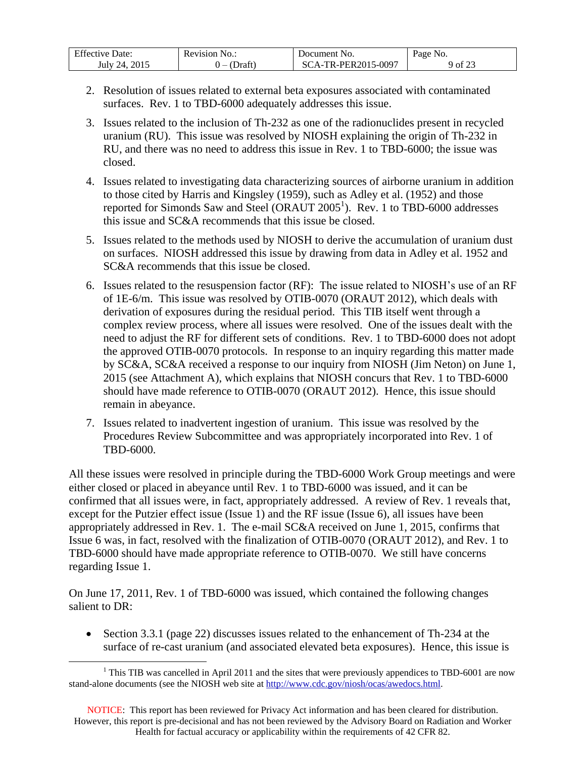| <b>Effective Date:</b> | Revision No.: | Document No.        | Page No. |
|------------------------|---------------|---------------------|----------|
| 2015<br>July $24$      | Draft)        | SCA-TR-PER2015-0097 | 9 of 23  |

- 2. Resolution of issues related to external beta exposures associated with contaminated surfaces. Rev. 1 to TBD-6000 adequately addresses this issue.
- 3. Issues related to the inclusion of Th-232 as one of the radionuclides present in recycled uranium (RU). This issue was resolved by NIOSH explaining the origin of Th-232 in RU, and there was no need to address this issue in Rev. 1 to TBD-6000; the issue was closed.
- 4. Issues related to investigating data characterizing sources of airborne uranium in addition to those cited by Harris and Kingsley (1959), such as Adley et al. (1952) and those reported for Simonds Saw and Steel (ORAUT 2005<sup>1</sup>). Rev. 1 to TBD-6000 addresses this issue and SC&A recommends that this issue be closed.
- 5. Issues related to the methods used by NIOSH to derive the accumulation of uranium dust on surfaces. NIOSH addressed this issue by drawing from data in Adley et al. 1952 and SC&A recommends that this issue be closed.
- 6. Issues related to the resuspension factor (RF): The issue related to NIOSH's use of an RF of 1E-6/m. This issue was resolved by OTIB-0070 (ORAUT 2012), which deals with derivation of exposures during the residual period. This TIB itself went through a complex review process, where all issues were resolved. One of the issues dealt with the need to adjust the RF for different sets of conditions. Rev. 1 to TBD-6000 does not adopt the approved OTIB-0070 protocols. In response to an inquiry regarding this matter made by SC&A, SC&A received a response to our inquiry from NIOSH (Jim Neton) on June 1, 2015 (see Attachment A), which explains that NIOSH concurs that Rev. 1 to TBD-6000 should have made reference to OTIB-0070 (ORAUT 2012). Hence, this issue should remain in abeyance.
- 7. Issues related to inadvertent ingestion of uranium. This issue was resolved by the Procedures Review Subcommittee and was appropriately incorporated into Rev. 1 of TBD-6000.

All these issues were resolved in principle during the TBD-6000 Work Group meetings and were either closed or placed in abeyance until Rev. 1 to TBD-6000 was issued, and it can be confirmed that all issues were, in fact, appropriately addressed. A review of Rev. 1 reveals that, except for the Putzier effect issue (Issue 1) and the RF issue (Issue 6), all issues have been appropriately addressed in Rev. 1. The e-mail SC&A received on June 1, 2015, confirms that Issue 6 was, in fact, resolved with the finalization of OTIB-0070 (ORAUT 2012), and Rev. 1 to TBD-6000 should have made appropriate reference to OTIB-0070. We still have concerns regarding Issue 1.

On June 17, 2011, Rev. 1 of TBD-6000 was issued, which contained the following changes salient to DR:

 $\overline{a}$ 

• Section 3.3.1 (page 22) discusses issues related to the enhancement of Th-234 at the surface of re-cast uranium (and associated elevated beta exposures). Hence, this issue is

<sup>&</sup>lt;sup>1</sup> This TIB was cancelled in April 2011 and the sites that were previously appendices to TBD-6001 are now stand-alone documents (see the NIOSH web site at http://www.cdc.gov/niosh/ocas/awedocs.html.

NOTICE: This report has been reviewed for Privacy Act information and has been cleared for distribution. However, this report is pre-decisional and has not been reviewed by the Advisory Board on Radiation and Worker Health for factual accuracy or applicability within the requirements of 42 CFR 82.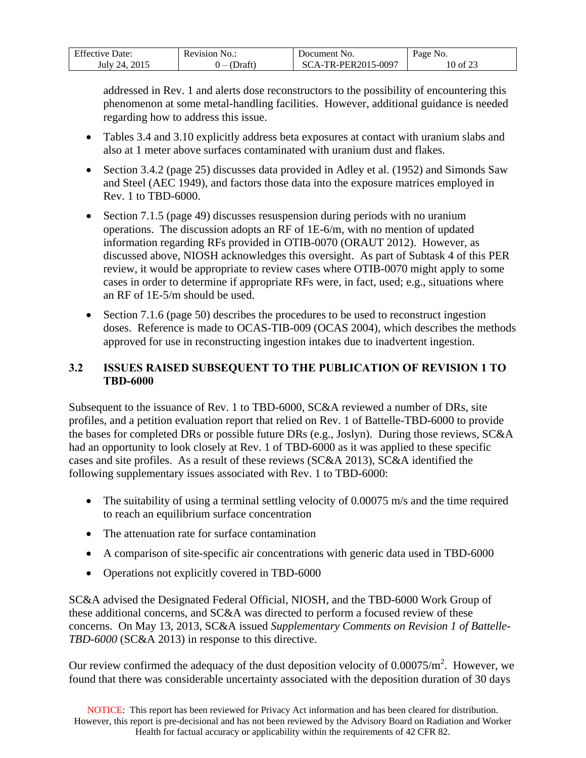| <b>Effective Date:</b> | Revision No.: | Document No.       | Page No. |
|------------------------|---------------|--------------------|----------|
| 2015<br>July 24.       | (Draft)       | CA-TR-PER2015-0097 | 10 of 23 |

addressed in Rev. 1 and alerts dose reconstructors to the possibility of encountering this phenomenon at some metal-handling facilities. However, additional guidance is needed regarding how to address this issue.

- Tables 3.4 and 3.10 explicitly address beta exposures at contact with uranium slabs and also at 1 meter above surfaces contaminated with uranium dust and flakes.
- Section 3.4.2 (page 25) discusses data provided in Adley et al. (1952) and Simonds Saw and Steel (AEC 1949), and factors those data into the exposure matrices employed in Rev. 1 to TBD-6000.
- Section 7.1.5 (page 49) discusses resuspension during periods with no uranium operations. The discussion adopts an RF of 1E-6/m, with no mention of updated information regarding RFs provided in OTIB-0070 (ORAUT 2012). However, as discussed above, NIOSH acknowledges this oversight. As part of Subtask 4 of this PER review, it would be appropriate to review cases where OTIB-0070 might apply to some cases in order to determine if appropriate RFs were, in fact, used; e.g., situations where an RF of 1E-5/m should be used.
- Section 7.1.6 (page 50) describes the procedures to be used to reconstruct ingestion doses. Reference is made to OCAS-TIB-009 (OCAS 2004), which describes the methods approved for use in reconstructing ingestion intakes due to inadvertent ingestion.

### <span id="page-9-0"></span>**3.2 ISSUES RAISED SUBSEQUENT TO THE PUBLICATION OF REVISION 1 TO TBD-6000**

Subsequent to the issuance of Rev. 1 to TBD-6000, SC&A reviewed a number of DRs, site profiles, and a petition evaluation report that relied on Rev. 1 of Battelle-TBD-6000 to provide the bases for completed DRs or possible future DRs (e.g., Joslyn). During those reviews, SC&A had an opportunity to look closely at Rev. 1 of TBD-6000 as it was applied to these specific cases and site profiles. As a result of these reviews (SC&A 2013), SC&A identified the following supplementary issues associated with Rev. 1 to TBD-6000:

- The suitability of using a terminal settling velocity of 0.00075 m/s and the time required to reach an equilibrium surface concentration
- The attenuation rate for surface contamination
- A comparison of site-specific air concentrations with generic data used in TBD-6000
- Operations not explicitly covered in TBD-6000

SC&A advised the Designated Federal Official, NIOSH, and the TBD-6000 Work Group of these additional concerns, and SC&A was directed to perform a focused review of these concerns. On May 13, 2013, SC&A issued *Supplementary Comments on Revision 1 of Battelle-TBD-6000* (SC&A 2013) in response to this directive.

Our review confirmed the adequacy of the dust deposition velocity of  $0.00075/m^2$ . However, we found that there was considerable uncertainty associated with the deposition duration of 30 days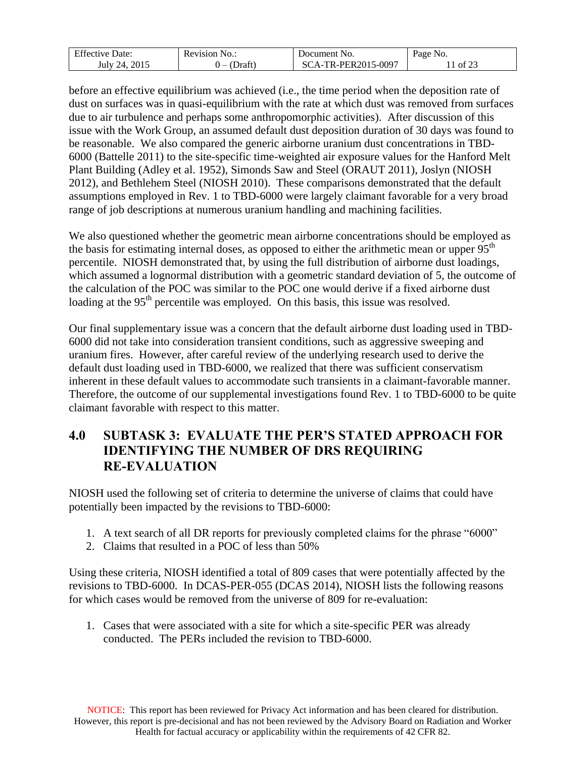| Effe.<br>)ate:                  | No.<br>evision           | NO.<br>iment<br>JΩ     | -aσe<br>N0   |
|---------------------------------|--------------------------|------------------------|--------------|
| 2015<br>July <sup>1</sup><br>24 | $\mathcal{L}$ .<br>)ratt | -0097<br>.2015<br>PFR' | - OT<br>ىدىك |

before an effective equilibrium was achieved (i.e., the time period when the deposition rate of dust on surfaces was in quasi-equilibrium with the rate at which dust was removed from surfaces due to air turbulence and perhaps some anthropomorphic activities). After discussion of this issue with the Work Group, an assumed default dust deposition duration of 30 days was found to be reasonable. We also compared the generic airborne uranium dust concentrations in TBD-6000 (Battelle 2011) to the site-specific time-weighted air exposure values for the Hanford Melt Plant Building (Adley et al. 1952), Simonds Saw and Steel (ORAUT 2011), Joslyn (NIOSH 2012), and Bethlehem Steel (NIOSH 2010). These comparisons demonstrated that the default assumptions employed in Rev. 1 to TBD-6000 were largely claimant favorable for a very broad range of job descriptions at numerous uranium handling and machining facilities.

We also questioned whether the geometric mean airborne concentrations should be employed as the basis for estimating internal doses, as opposed to either the arithmetic mean or upper  $95<sup>th</sup>$ percentile. NIOSH demonstrated that, by using the full distribution of airborne dust loadings, which assumed a lognormal distribution with a geometric standard deviation of 5, the outcome of the calculation of the POC was similar to the POC one would derive if a fixed airborne dust loading at the 95<sup>th</sup> percentile was employed. On this basis, this issue was resolved.

Our final supplementary issue was a concern that the default airborne dust loading used in TBD-6000 did not take into consideration transient conditions, such as aggressive sweeping and uranium fires. However, after careful review of the underlying research used to derive the default dust loading used in TBD-6000, we realized that there was sufficient conservatism inherent in these default values to accommodate such transients in a claimant-favorable manner. Therefore, the outcome of our supplemental investigations found Rev. 1 to TBD-6000 to be quite claimant favorable with respect to this matter.

### <span id="page-10-0"></span>**4.0 SUBTASK 3: EVALUATE THE PER'S STATED APPROACH FOR IDENTIFYING THE NUMBER OF DRS REQUIRING RE-EVALUATION**

NIOSH used the following set of criteria to determine the universe of claims that could have potentially been impacted by the revisions to TBD-6000:

- 1. A text search of all DR reports for previously completed claims for the phrase "6000"
- 2. Claims that resulted in a POC of less than 50%

Using these criteria, NIOSH identified a total of 809 cases that were potentially affected by the revisions to TBD-6000. In DCAS-PER-055 (DCAS 2014), NIOSH lists the following reasons for which cases would be removed from the universe of 809 for re-evaluation:

1. Cases that were associated with a site for which a site-specific PER was already conducted. The PERs included the revision to TBD-6000.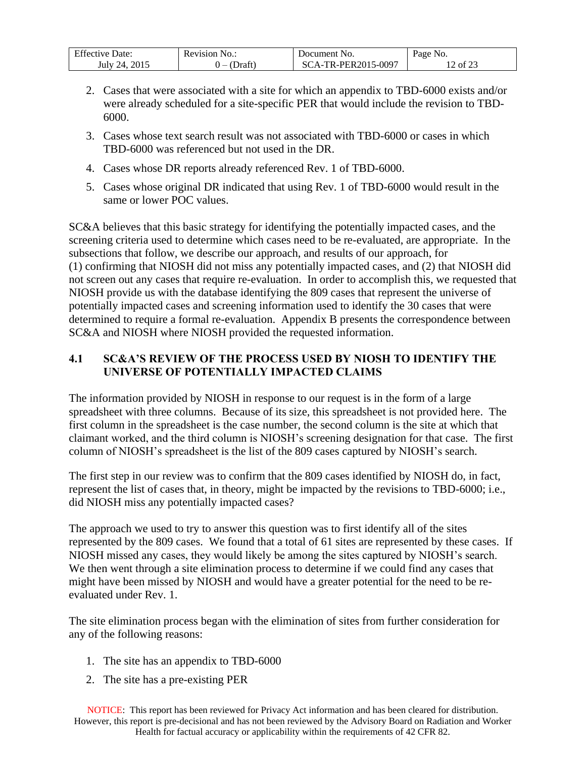| <b>Effective Date:</b> | Revision No.: | Document No.       | Page No. |
|------------------------|---------------|--------------------|----------|
| 2015<br>July 24.       | (Draft)       | A-TR-PER2015-0097_ | of 23    |

- 2. Cases that were associated with a site for which an appendix to TBD-6000 exists and/or were already scheduled for a site-specific PER that would include the revision to TBD-6000.
- 3. Cases whose text search result was not associated with TBD-6000 or cases in which TBD-6000 was referenced but not used in the DR.
- 4. Cases whose DR reports already referenced Rev. 1 of TBD-6000.
- 5. Cases whose original DR indicated that using Rev. 1 of TBD-6000 would result in the same or lower POC values.

SC&A believes that this basic strategy for identifying the potentially impacted cases, and the screening criteria used to determine which cases need to be re-evaluated, are appropriate. In the subsections that follow, we describe our approach, and results of our approach, for (1) confirming that NIOSH did not miss any potentially impacted cases, and (2) that NIOSH did not screen out any cases that require re-evaluation. In order to accomplish this, we requested that NIOSH provide us with the database identifying the 809 cases that represent the universe of potentially impacted cases and screening information used to identify the 30 cases that were determined to require a formal re-evaluation. Appendix B presents the correspondence between SC&A and NIOSH where NIOSH provided the requested information.

### <span id="page-11-0"></span>**4.1 SC&A'S REVIEW OF THE PROCESS USED BY NIOSH TO IDENTIFY THE UNIVERSE OF POTENTIALLY IMPACTED CLAIMS**

The information provided by NIOSH in response to our request is in the form of a large spreadsheet with three columns. Because of its size, this spreadsheet is not provided here. The first column in the spreadsheet is the case number, the second column is the site at which that claimant worked, and the third column is NIOSH's screening designation for that case. The first column of NIOSH's spreadsheet is the list of the 809 cases captured by NIOSH's search.

The first step in our review was to confirm that the 809 cases identified by NIOSH do, in fact, represent the list of cases that, in theory, might be impacted by the revisions to TBD-6000; i.e., did NIOSH miss any potentially impacted cases?

The approach we used to try to answer this question was to first identify all of the sites represented by the 809 cases. We found that a total of 61 sites are represented by these cases. If NIOSH missed any cases, they would likely be among the sites captured by NIOSH's search. We then went through a site elimination process to determine if we could find any cases that might have been missed by NIOSH and would have a greater potential for the need to be reevaluated under Rev. 1.

The site elimination process began with the elimination of sites from further consideration for any of the following reasons:

- 1. The site has an appendix to TBD-6000
- 2. The site has a pre-existing PER

NOTICE: This report has been reviewed for Privacy Act information and has been cleared for distribution. However, this report is pre-decisional and has not been reviewed by the Advisory Board on Radiation and Worker Health for factual accuracy or applicability within the requirements of 42 CFR 82.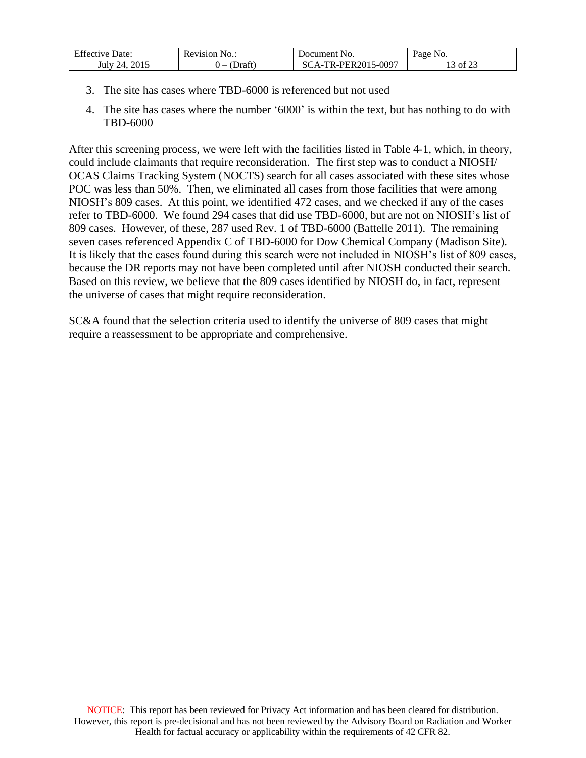| <b>Effective Date:</b> | Revision No.: | Document No.        | Page No. |
|------------------------|---------------|---------------------|----------|
| July 24, 2015          | (Draft)       | SCA-TR-PER2015-0097 | 3 of 23  |

- 3. The site has cases where TBD-6000 is referenced but not used
- 4. The site has cases where the number '6000' is within the text, but has nothing to do with TBD-6000

After this screening process, we were left with the facilities listed in Table 4-1, which, in theory, could include claimants that require reconsideration. The first step was to conduct a NIOSH/ OCAS Claims Tracking System (NOCTS) search for all cases associated with these sites whose POC was less than 50%. Then, we eliminated all cases from those facilities that were among NIOSH's 809 cases. At this point, we identified 472 cases, and we checked if any of the cases refer to TBD-6000. We found 294 cases that did use TBD-6000, but are not on NIOSH's list of 809 cases. However, of these, 287 used Rev. 1 of TBD-6000 (Battelle 2011). The remaining seven cases referenced Appendix C of TBD-6000 for Dow Chemical Company (Madison Site). It is likely that the cases found during this search were not included in NIOSH's list of 809 cases, because the DR reports may not have been completed until after NIOSH conducted their search. Based on this review, we believe that the 809 cases identified by NIOSH do, in fact, represent the universe of cases that might require reconsideration.

SC&A found that the selection criteria used to identify the universe of 809 cases that might require a reassessment to be appropriate and comprehensive.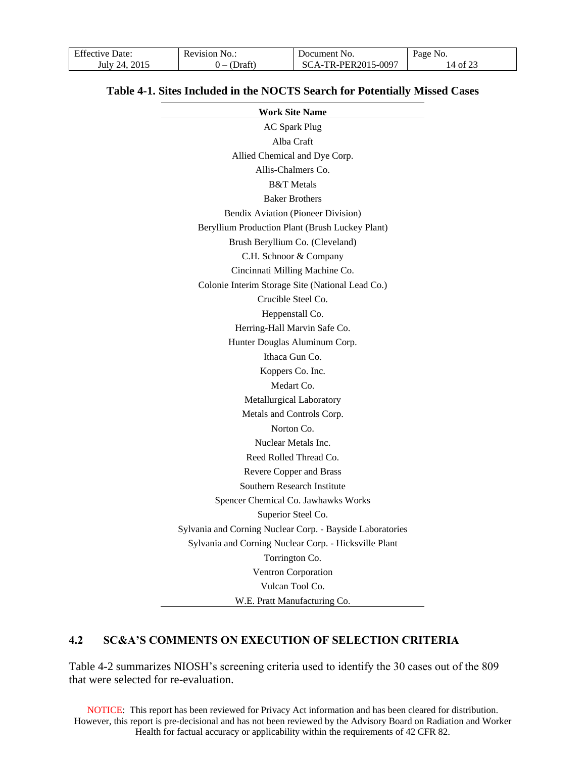| <b>Effective Date:</b> | Revision No.: | Document No.        | Page No. |
|------------------------|---------------|---------------------|----------|
| July 24, 2015          | 0 – (Draft`   | SCA-TR-PER2015-0097 | 14 of 23 |

### **Table 4-1. Sites Included in the NOCTS Search for Potentially Missed Cases**

| <b>Work Site Name</b>                                     |  |  |  |  |
|-----------------------------------------------------------|--|--|--|--|
| <b>AC Spark Plug</b>                                      |  |  |  |  |
| Alba Craft                                                |  |  |  |  |
| Allied Chemical and Dye Corp.                             |  |  |  |  |
| Allis-Chalmers Co.                                        |  |  |  |  |
| <b>B&amp;T</b> Metals                                     |  |  |  |  |
| <b>Baker Brothers</b>                                     |  |  |  |  |
| Bendix Aviation (Pioneer Division)                        |  |  |  |  |
| Beryllium Production Plant (Brush Luckey Plant)           |  |  |  |  |
| Brush Beryllium Co. (Cleveland)                           |  |  |  |  |
| C.H. Schnoor & Company                                    |  |  |  |  |
| Cincinnati Milling Machine Co.                            |  |  |  |  |
| Colonie Interim Storage Site (National Lead Co.)          |  |  |  |  |
| Crucible Steel Co.                                        |  |  |  |  |
| Heppenstall Co.                                           |  |  |  |  |
| Herring-Hall Marvin Safe Co.                              |  |  |  |  |
| Hunter Douglas Aluminum Corp.                             |  |  |  |  |
| Ithaca Gun Co.                                            |  |  |  |  |
| Koppers Co. Inc.                                          |  |  |  |  |
| Medart Co.                                                |  |  |  |  |
| Metallurgical Laboratory                                  |  |  |  |  |
| Metals and Controls Corp.                                 |  |  |  |  |
| Norton Co.                                                |  |  |  |  |
| Nuclear Metals Inc.                                       |  |  |  |  |
| Reed Rolled Thread Co.                                    |  |  |  |  |
| Revere Copper and Brass                                   |  |  |  |  |
| Southern Research Institute                               |  |  |  |  |
| Spencer Chemical Co. Jawhawks Works                       |  |  |  |  |
| Superior Steel Co.                                        |  |  |  |  |
| Sylvania and Corning Nuclear Corp. - Bayside Laboratories |  |  |  |  |
| Sylvania and Corning Nuclear Corp. - Hicksville Plant     |  |  |  |  |
| Torrington Co.                                            |  |  |  |  |
| Ventron Corporation                                       |  |  |  |  |
| Vulcan Tool Co.                                           |  |  |  |  |
| W.E. Pratt Manufacturing Co.                              |  |  |  |  |

#### <span id="page-13-0"></span>**4.2 SC&A'S COMMENTS ON EXECUTION OF SELECTION CRITERIA**

Table 4-2 summarizes NIOSH's screening criteria used to identify the 30 cases out of the 809 that were selected for re-evaluation.

NOTICE: This report has been reviewed for Privacy Act information and has been cleared for distribution. However, this report is pre-decisional and has not been reviewed by the Advisory Board on Radiation and Worker Health for factual accuracy or applicability within the requirements of 42 CFR 82.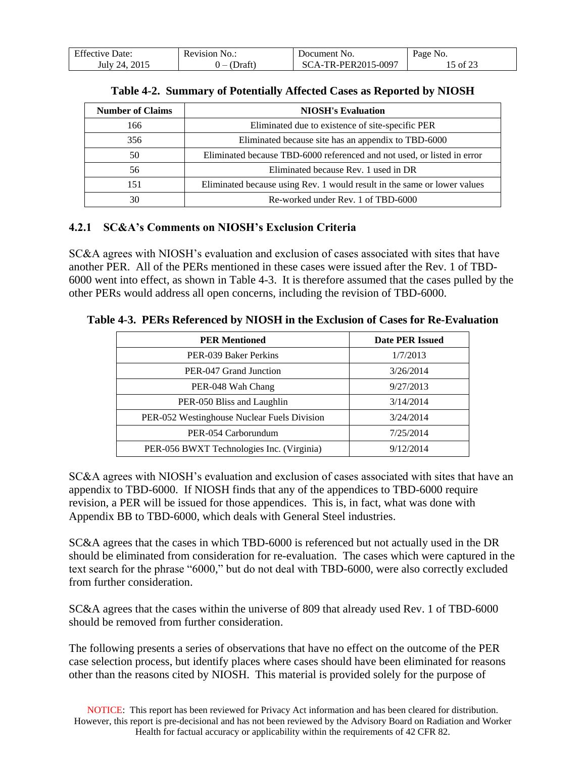| <b>Effective Date:</b> | <b>Revision No.:</b> | Document No.        | Page No. |
|------------------------|----------------------|---------------------|----------|
| July 24, 2015          | $0 - (Draff)$        | SCA-TR-PER2015-0097 | 15 of 23 |

| <b>Number of Claims</b> | <b>NIOSH's Evaluation</b>                                                |  |  |
|-------------------------|--------------------------------------------------------------------------|--|--|
| 166                     | Eliminated due to existence of site-specific PER                         |  |  |
| 356                     | Eliminated because site has an appendix to TBD-6000                      |  |  |
| 50                      | Eliminated because TBD-6000 referenced and not used, or listed in error  |  |  |
| 56                      | Eliminated because Rev. 1 used in DR                                     |  |  |
| 151                     | Eliminated because using Rev. 1 would result in the same or lower values |  |  |
| 30                      | Re-worked under Rev. 1 of TBD-6000                                       |  |  |

### <span id="page-14-0"></span>**4.2.1 SC&A's Comments on NIOSH's Exclusion Criteria**

SC&A agrees with NIOSH's evaluation and exclusion of cases associated with sites that have another PER. All of the PERs mentioned in these cases were issued after the Rev. 1 of TBD-6000 went into effect, as shown in Table 4-3. It is therefore assumed that the cases pulled by the other PERs would address all open concerns, including the revision of TBD-6000.

|  |  |  |  | Table 4-3. PERs Referenced by NIOSH in the Exclusion of Cases for Re-Evaluation |
|--|--|--|--|---------------------------------------------------------------------------------|
|--|--|--|--|---------------------------------------------------------------------------------|

| <b>PER Mentioned</b>                        | <b>Date PER Issued</b> |
|---------------------------------------------|------------------------|
| PER-039 Baker Perkins                       | 1/7/2013               |
| PER-047 Grand Junction                      | 3/26/2014              |
| PER-048 Wah Chang                           | 9/27/2013              |
| PER-050 Bliss and Laughlin                  | 3/14/2014              |
| PER-052 Westinghouse Nuclear Fuels Division | 3/24/2014              |
| PER-054 Carborundum                         | 7/25/2014              |
| PER-056 BWXT Technologies Inc. (Virginia)   | 9/12/2014              |

SC&A agrees with NIOSH's evaluation and exclusion of cases associated with sites that have an appendix to TBD-6000. If NIOSH finds that any of the appendices to TBD-6000 require revision, a PER will be issued for those appendices. This is, in fact, what was done with Appendix BB to TBD-6000, which deals with General Steel industries.

SC&A agrees that the cases in which TBD-6000 is referenced but not actually used in the DR should be eliminated from consideration for re-evaluation. The cases which were captured in the text search for the phrase "6000," but do not deal with TBD-6000, were also correctly excluded from further consideration.

SC&A agrees that the cases within the universe of 809 that already used Rev. 1 of TBD-6000 should be removed from further consideration.

The following presents a series of observations that have no effect on the outcome of the PER case selection process, but identify places where cases should have been eliminated for reasons other than the reasons cited by NIOSH. This material is provided solely for the purpose of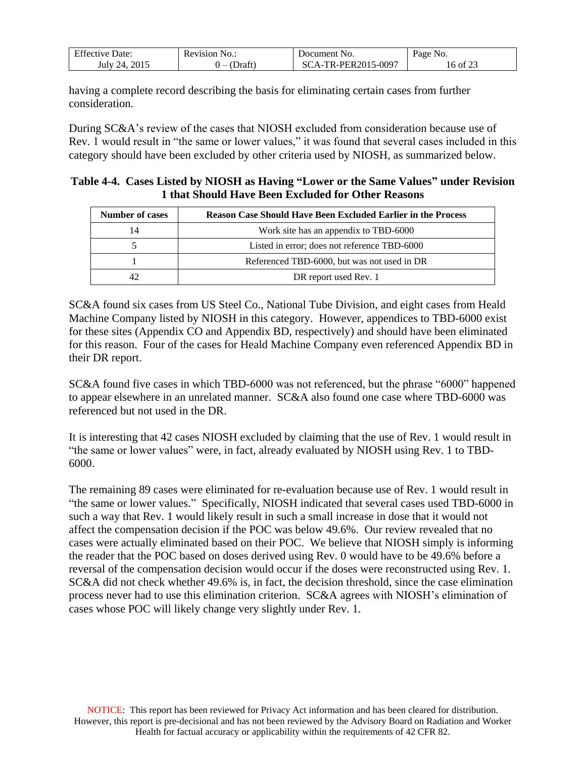| $\Gamma$ $\alpha$<br>)ate:<br>∴tte⁄<br>. | NO.<br>$\mathbf{H}$<br>___ | N <sub>0</sub><br>าent<br><b><i>RX</i></b> | NO.<br>'a o e              |
|------------------------------------------|----------------------------|--------------------------------------------|----------------------------|
| $-2017$<br>94<br>July                    | 1001                       | $0.2015 - 0.097$<br>பட<br>≀R.              | $\sim$ $\sim$ $\sim$<br>Ωt |

having a complete record describing the basis for eliminating certain cases from further consideration.

During SC&A's review of the cases that NIOSH excluded from consideration because use of Rev. 1 would result in "the same or lower values," it was found that several cases included in this category should have been excluded by other criteria used by NIOSH, as summarized below.

### **Table 4-4. Cases Listed by NIOSH as Having "Lower or the Same Values" under Revision 1 that Should Have Been Excluded for Other Reasons**

| <b>Number of cases</b> | <b>Reason Case Should Have Been Excluded Earlier in the Process</b> |
|------------------------|---------------------------------------------------------------------|
| 14                     | Work site has an appendix to TBD-6000                               |
|                        | Listed in error; does not reference TBD-6000                        |
|                        | Referenced TBD-6000, but was not used in DR                         |
| 42                     | DR report used Rev. 1                                               |

SC&A found six cases from US Steel Co., National Tube Division, and eight cases from Heald Machine Company listed by NIOSH in this category. However, appendices to TBD-6000 exist for these sites (Appendix CO and Appendix BD, respectively) and should have been eliminated for this reason. Four of the cases for Heald Machine Company even referenced Appendix BD in their DR report.

SC&A found five cases in which TBD-6000 was not referenced, but the phrase "6000" happened to appear elsewhere in an unrelated manner. SC&A also found one case where TBD-6000 was referenced but not used in the DR.

It is interesting that 42 cases NIOSH excluded by claiming that the use of Rev. 1 would result in "the same or lower values" were, in fact, already evaluated by NIOSH using Rev. 1 to TBD-6000.

The remaining 89 cases were eliminated for re-evaluation because use of Rev. 1 would result in "the same or lower values." Specifically, NIOSH indicated that several cases used TBD-6000 in such a way that Rev. 1 would likely result in such a small increase in dose that it would not affect the compensation decision if the POC was below 49.6%. Our review revealed that no cases were actually eliminated based on their POC. We believe that NIOSH simply is informing the reader that the POC based on doses derived using Rev. 0 would have to be 49.6% before a reversal of the compensation decision would occur if the doses were reconstructed using Rev. 1. SC&A did not check whether 49.6% is, in fact, the decision threshold, since the case elimination process never had to use this elimination criterion. SC&A agrees with NIOSH's elimination of cases whose POC will likely change very slightly under Rev. 1.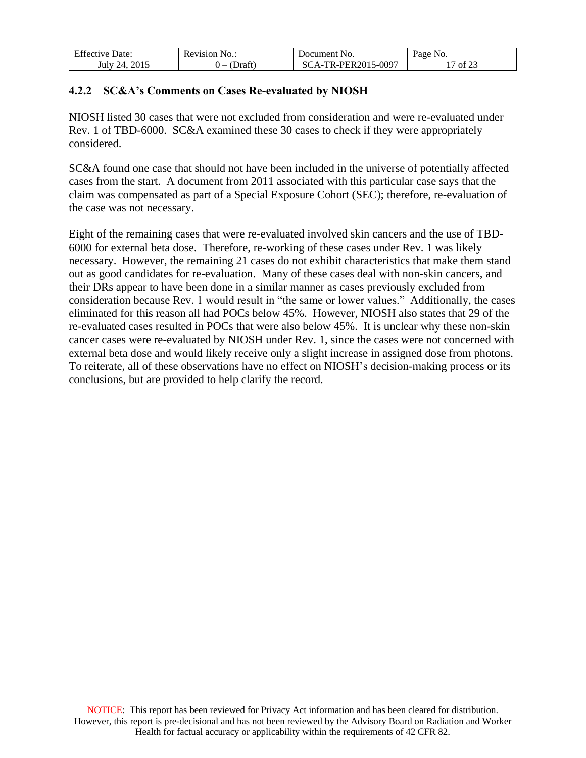| <b>Effective Date:</b> | <b>Revision No.:</b> | Document No.        | Page No. |
|------------------------|----------------------|---------------------|----------|
| July 24, 2015          | (Draft)<br>$\cdot$ . | SCA-TR-PER2015-0097 | 17 of 23 |

### <span id="page-16-0"></span>**4.2.2 SC&A's Comments on Cases Re-evaluated by NIOSH**

NIOSH listed 30 cases that were not excluded from consideration and were re-evaluated under Rev. 1 of TBD-6000. SC&A examined these 30 cases to check if they were appropriately considered.

SC&A found one case that should not have been included in the universe of potentially affected cases from the start. A document from 2011 associated with this particular case says that the claim was compensated as part of a Special Exposure Cohort (SEC); therefore, re-evaluation of the case was not necessary.

Eight of the remaining cases that were re-evaluated involved skin cancers and the use of TBD-6000 for external beta dose. Therefore, re-working of these cases under Rev. 1 was likely necessary. However, the remaining 21 cases do not exhibit characteristics that make them stand out as good candidates for re-evaluation. Many of these cases deal with non-skin cancers, and their DRs appear to have been done in a similar manner as cases previously excluded from consideration because Rev. 1 would result in "the same or lower values." Additionally, the cases eliminated for this reason all had POCs below 45%. However, NIOSH also states that 29 of the re-evaluated cases resulted in POCs that were also below 45%. It is unclear why these non-skin cancer cases were re-evaluated by NIOSH under Rev. 1, since the cases were not concerned with external beta dose and would likely receive only a slight increase in assigned dose from photons. To reiterate, all of these observations have no effect on NIOSH's decision-making process or its conclusions, but are provided to help clarify the record.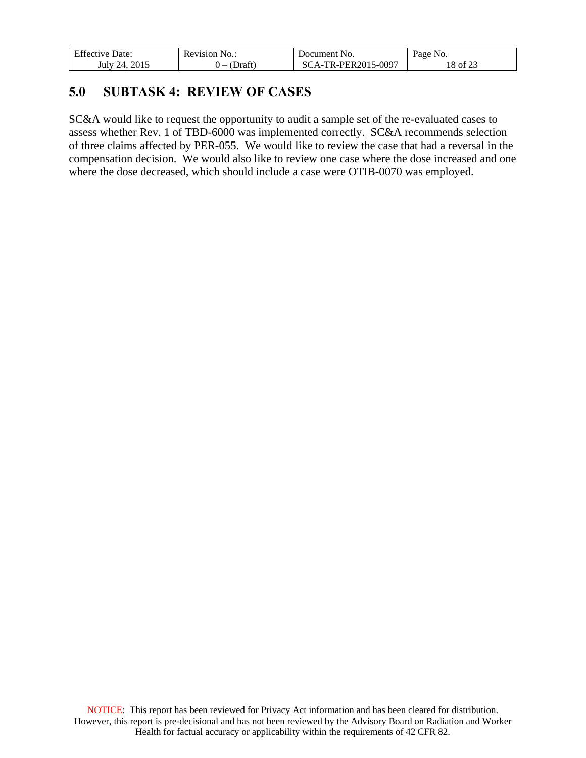| <b>Effective Date:</b> | Revision No.:                              | Document No.        | Page No. |
|------------------------|--------------------------------------------|---------------------|----------|
| 2015<br>July 24.       | (Draft)<br>$\overline{\phantom{0}}$<br>. . | SCA-TR-PER2015-0097 | 8 of 23  |

### <span id="page-17-0"></span>**5.0 SUBTASK 4: REVIEW OF CASES**

SC&A would like to request the opportunity to audit a sample set of the re-evaluated cases to assess whether Rev. 1 of TBD-6000 was implemented correctly. SC&A recommends selection of three claims affected by PER-055. We would like to review the case that had a reversal in the compensation decision. We would also like to review one case where the dose increased and one where the dose decreased, which should include a case were OTIB-0070 was employed.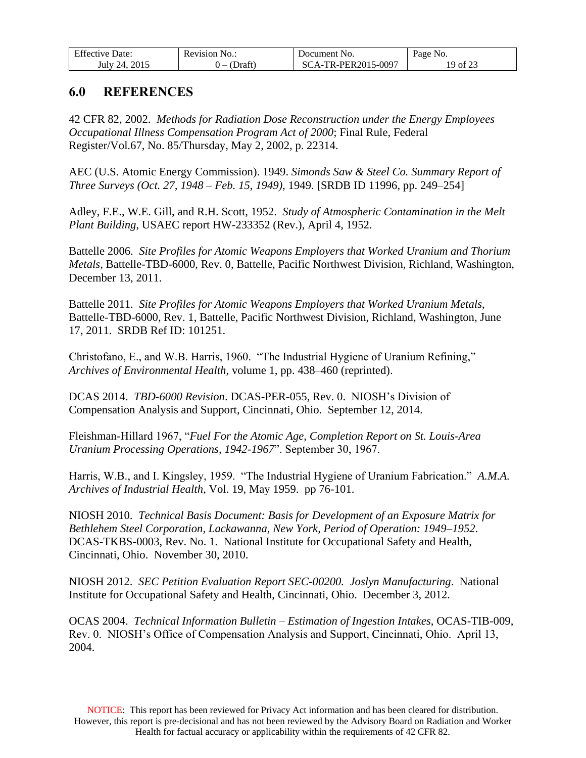| <b>Effective Date:</b> | Revision No.: | Document No.        | Page No. |
|------------------------|---------------|---------------------|----------|
| July 24, 2015          | (Draft)       | SCA-TR-PER2015-0097 | 19 of 23 |

### <span id="page-18-0"></span>**6.0 REFERENCES**

42 CFR 82, 2002. *Methods for Radiation Dose Reconstruction under the Energy Employees Occupational Illness Compensation Program Act of 2000*; Final Rule, Federal Register/Vol.67, No. 85/Thursday, May 2, 2002, p. 22314.

AEC (U.S. Atomic Energy Commission). 1949. *Simonds Saw & Steel Co. Summary Report of Three Surveys (Oct. 27, 1948 – Feb. 15, 1949)*, 1949. [SRDB ID 11996, pp. 249–254]

Adley, F.E., W.E. Gill, and R.H. Scott, 1952. *Study of Atmospheric Contamination in the Melt Plant Building*, USAEC report HW-233352 (Rev.), April 4, 1952.

Battelle 2006. *Site Profiles for Atomic Weapons Employers that Worked Uranium and Thorium Metals*, Battelle-TBD-6000, Rev. 0, Battelle, Pacific Northwest Division, Richland, Washington, December 13, 2011.

Battelle 2011. *Site Profiles for Atomic Weapons Employers that Worked Uranium Metals*, Battelle-TBD-6000, Rev. 1, Battelle, Pacific Northwest Division, Richland, Washington, June 17, 2011. SRDB Ref ID: 101251.

Christofano, E., and W.B. Harris, 1960. "The Industrial Hygiene of Uranium Refining," *Archives of Environmental Health,* volume 1, pp. 438–460 (reprinted).

DCAS 2014. *TBD-6000 Revision*. DCAS-PER-055, Rev. 0. NIOSH's Division of Compensation Analysis and Support, Cincinnati, Ohio. September 12, 2014.

Fleishman-Hillard 1967, "*Fuel For the Atomic Age, Completion Report on St. Louis-Area Uranium Processing Operations, 1942-1967*". September 30, 1967.

Harris, W.B., and I. Kingsley, 1959. "The Industrial Hygiene of Uranium Fabrication." *A.M.A. Archives of Industrial Health*, Vol. 19, May 1959. pp 76-101.

NIOSH 2010. *Technical Basis Document: Basis for Development of an Exposure Matrix for Bethlehem Steel Corporation, Lackawanna, New York, Period of Operation: 1949–1952*. DCAS-TKBS-0003, Rev. No. 1. National Institute for Occupational Safety and Health, Cincinnati, Ohio. November 30, 2010.

NIOSH 2012. *SEC Petition Evaluation Report SEC-00200. Joslyn Manufacturing*. National Institute for Occupational Safety and Health, Cincinnati, Ohio. December 3, 2012.

OCAS 2004. *Technical Information Bulletin – Estimation of Ingestion Intakes*, OCAS-TIB-009, Rev. 0. NIOSH's Office of Compensation Analysis and Support, Cincinnati, Ohio. April 13, 2004.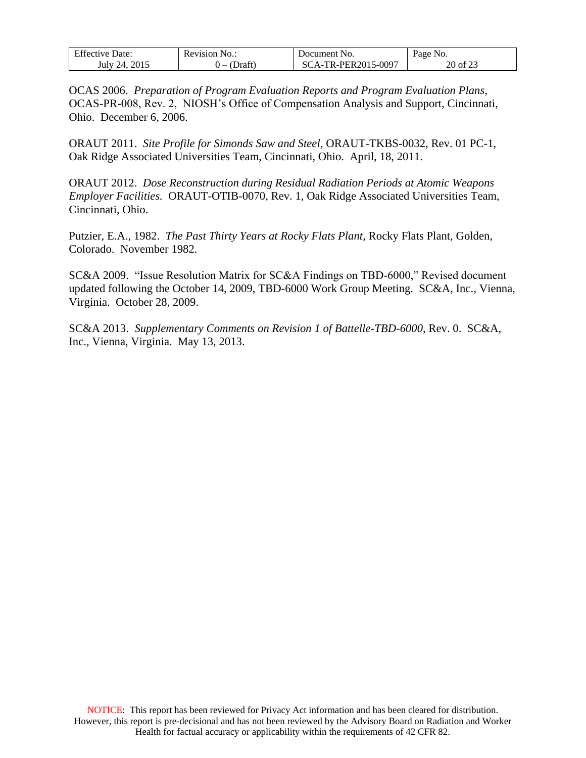| <b>Effective Date:</b> | Revision No.:        | Document No.        | Page No. |
|------------------------|----------------------|---------------------|----------|
| July 24, 2015          | (Draft)<br>$\cdot$ . | SCA-TR-PER2015-0097 | 20 of 23 |

OCAS 2006. *Preparation of Program Evaluation Reports and Program Evaluation Plans*, OCAS-PR-008, Rev. 2, NIOSH's Office of Compensation Analysis and Support, Cincinnati, Ohio. December 6, 2006.

ORAUT 2011. *Site Profile for Simonds Saw and Steel*, ORAUT-TKBS-0032, Rev. 01 PC-1, Oak Ridge Associated Universities Team, Cincinnati, Ohio. April, 18, 2011.

ORAUT 2012. *Dose Reconstruction during Residual Radiation Periods at Atomic Weapons Employer Facilities.* ORAUT-OTIB-0070, Rev. 1, Oak Ridge Associated Universities Team, Cincinnati, Ohio.

Putzier, E.A., 1982. *The Past Thirty Years at Rocky Flats Plant*, Rocky Flats Plant, Golden, Colorado. November 1982.

SC&A 2009. "Issue Resolution Matrix for SC&A Findings on TBD-6000," Revised document updated following the October 14, 2009, TBD-6000 Work Group Meeting. SC&A, Inc., Vienna, Virginia. October 28, 2009.

SC&A 2013. *Supplementary Comments on Revision 1 of Battelle-TBD-6000*, Rev. 0. SC&A, Inc., Vienna, Virginia. May 13, 2013.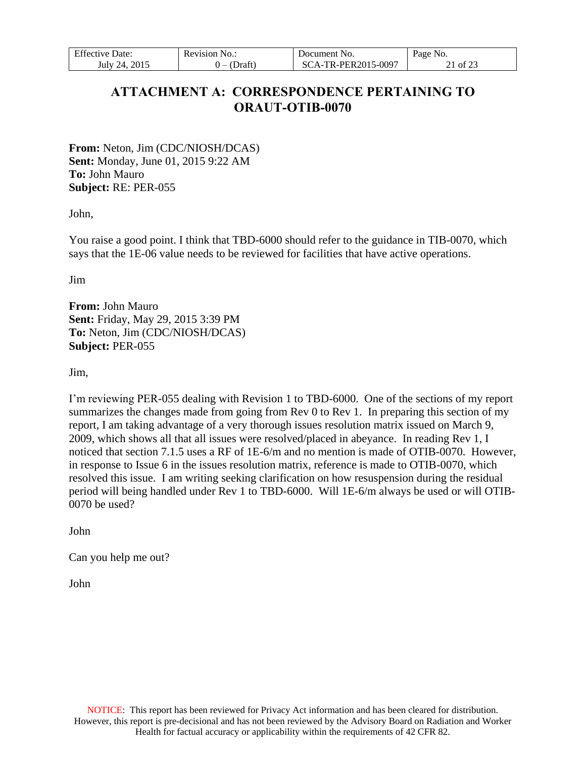<span id="page-20-0"></span>

| <b>Effective Date:</b> | Revision No.: | Document No.        | Page No. |
|------------------------|---------------|---------------------|----------|
| July 24, 2015          | Draft         | SCA-TR-PER2015-0097 | 21 of 23 |

## **ATTACHMENT A: CORRESPONDENCE PERTAINING TO ORAUT-OTIB-0070**

**From:** Neton, Jim (CDC/NIOSH/DCAS) **Sent:** Monday, June 01, 2015 9:22 AM **To:** John Mauro **Subject:** RE: PER-055

John,

You raise a good point. I think that TBD-6000 should refer to the guidance in TIB-0070, which says that the 1E-06 value needs to be reviewed for facilities that have active operations.

Jim

**From:** John Mauro **Sent:** Friday, May 29, 2015 3:39 PM **To:** Neton, Jim (CDC/NIOSH/DCAS) **Subject:** PER-055

Jim,

I'm reviewing PER-055 dealing with Revision 1 to TBD-6000. One of the sections of my report summarizes the changes made from going from Rev 0 to Rev 1. In preparing this section of my report, I am taking advantage of a very thorough issues resolution matrix issued on March 9, 2009, which shows all that all issues were resolved/placed in abeyance. In reading Rev 1, I noticed that section 7.1.5 uses a RF of 1E-6/m and no mention is made of OTIB-0070. However, in response to Issue 6 in the issues resolution matrix, reference is made to OTIB-0070, which resolved this issue. I am writing seeking clarification on how resuspension during the residual period will being handled under Rev 1 to TBD-6000. Will 1E-6/m always be used or will OTIB-0070 be used?

John

Can you help me out?

John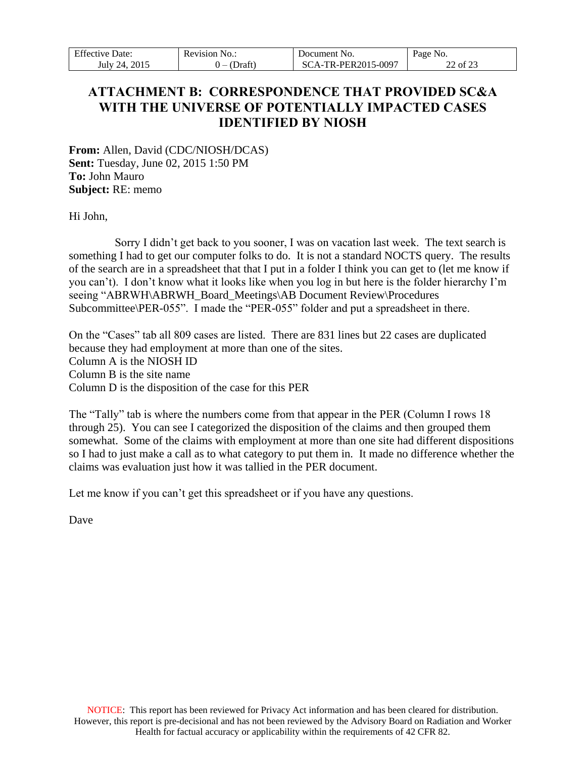| <b>Effective I</b><br>Date: | Revision No.: | Document No.        | Page<br>NO. |
|-----------------------------|---------------|---------------------|-------------|
| 2015                        | <b>Draft</b>  | SCA-TR-PER2015-0097 | $c \wedge$  |
| July 24.                    |               |                     | ' of 25     |

## <span id="page-21-0"></span>**ATTACHMENT B: CORRESPONDENCE THAT PROVIDED SC&A WITH THE UNIVERSE OF POTENTIALLY IMPACTED CASES IDENTIFIED BY NIOSH**

**From:** Allen, David (CDC/NIOSH/DCAS) **Sent:** Tuesday, June 02, 2015 1:50 PM **To:** John Mauro **Subject:** RE: memo

Hi John,

 Sorry I didn't get back to you sooner, I was on vacation last week. The text search is something I had to get our computer folks to do. It is not a standard NOCTS query. The results of the search are in a spreadsheet that that I put in a folder I think you can get to (let me know if you can't). I don't know what it looks like when you log in but here is the folder hierarchy I'm seeing "ABRWH\ABRWH\_Board\_Meetings\AB Document Review\Procedures Subcommittee\PER-055". I made the "PER-055" folder and put a spreadsheet in there.

On the "Cases" tab all 809 cases are listed. There are 831 lines but 22 cases are duplicated because they had employment at more than one of the sites. Column A is the NIOSH ID Column B is the site name Column D is the disposition of the case for this PER

The "Tally" tab is where the numbers come from that appear in the PER (Column I rows 18 through 25). You can see I categorized the disposition of the claims and then grouped them somewhat. Some of the claims with employment at more than one site had different dispositions so I had to just make a call as to what category to put them in. It made no difference whether the claims was evaluation just how it was tallied in the PER document.

Let me know if you can't get this spreadsheet or if you have any questions.

Dave